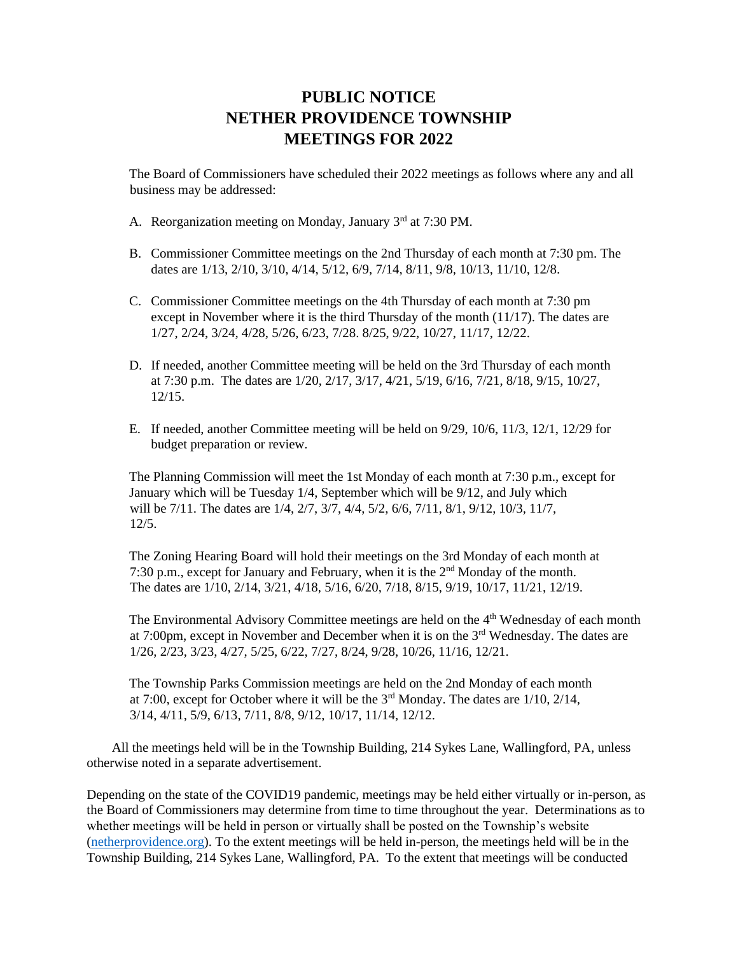## **PUBLIC NOTICE NETHER PROVIDENCE TOWNSHIP MEETINGS FOR 2022**

The Board of Commissioners have scheduled their 2022 meetings as follows where any and all business may be addressed:

- A. Reorganization meeting on Monday, January 3rd at 7:30 PM.
- B. Commissioner Committee meetings on the 2nd Thursday of each month at 7:30 pm. The dates are 1/13, 2/10, 3/10, 4/14, 5/12, 6/9, 7/14, 8/11, 9/8, 10/13, 11/10, 12/8.
- C. Commissioner Committee meetings on the 4th Thursday of each month at 7:30 pm except in November where it is the third Thursday of the month  $(11/17)$ . The dates are 1/27, 2/24, 3/24, 4/28, 5/26, 6/23, 7/28. 8/25, 9/22, 10/27, 11/17, 12/22.
- D. If needed, another Committee meeting will be held on the 3rd Thursday of each month at 7:30 p.m. The dates are 1/20, 2/17, 3/17, 4/21, 5/19, 6/16, 7/21, 8/18, 9/15, 10/27, 12/15.
- E. If needed, another Committee meeting will be held on 9/29, 10/6, 11/3, 12/1, 12/29 for budget preparation or review.

The Planning Commission will meet the 1st Monday of each month at 7:30 p.m., except for January which will be Tuesday 1/4, September which will be 9/12, and July which will be 7/11. The dates are 1/4, 2/7, 3/7, 4/4, 5/2, 6/6, 7/11, 8/1, 9/12, 10/3, 11/7, 12/5.

The Zoning Hearing Board will hold their meetings on the 3rd Monday of each month at 7:30 p.m., except for January and February, when it is the 2nd Monday of the month. The dates are 1/10, 2/14, 3/21, 4/18, 5/16, 6/20, 7/18, 8/15, 9/19, 10/17, 11/21, 12/19.

The Environmental Advisory Committee meetings are held on the 4<sup>th</sup> Wednesday of each month at 7:00pm, except in November and December when it is on the 3<sup>rd</sup> Wednesday. The dates are 1/26, 2/23, 3/23, 4/27, 5/25, 6/22, 7/27, 8/24, 9/28, 10/26, 11/16, 12/21.

The Township Parks Commission meetings are held on the 2nd Monday of each month at 7:00, except for October where it will be the  $3<sup>rd</sup>$  Monday. The dates are  $1/10$ ,  $2/14$ , 3/14, 4/11, 5/9, 6/13, 7/11, 8/8, 9/12, 10/17, 11/14, 12/12.

All the meetings held will be in the Township Building, 214 Sykes Lane, Wallingford, PA, unless otherwise noted in a separate advertisement.

Depending on the state of the COVID19 pandemic, meetings may be held either virtually or in-person, as the Board of Commissioners may determine from time to time throughout the year. Determinations as to whether meetings will be held in person or virtually shall be posted on the Township's website [\(netherprovidence.org\)](https://linkprotect.cudasvc.com/url?a=https%3a%2f%2fnetherprovidence.org&c=E,1,EdR44pwhUIMQd-M6Ees5_apeA6zxeYmOVzoNCSJtGrG40A6Ed4bwAqedXWmLPhxee-Kv11jjHaUVusdw7YehkNpndx15ovCwD1YOpULGukGb6K5Kd7p4L_Bo&typo=1). To the extent meetings will be held in-person, the meetings held will be in the Township Building, 214 Sykes Lane, Wallingford, PA. To the extent that meetings will be conducted